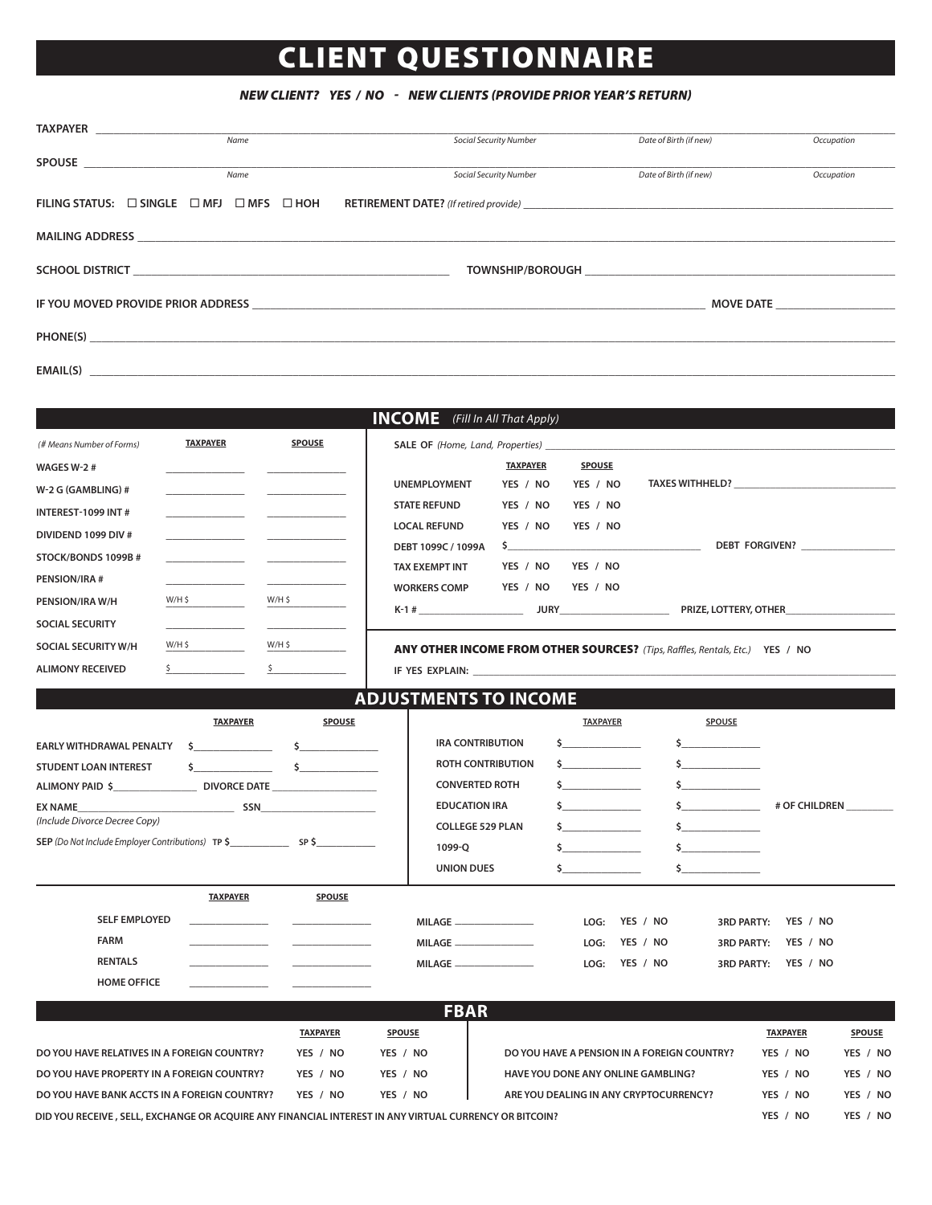## CLIENT QUESTIONNAIRE

## *NEW CLIENT? YES / NO - NEW CLIENTS (PROVIDE PRIOR YEAR'S RETURN)*

| <b>TAXPAYER Example 2018</b>                                              |                 | Name |                                                                                                                       |                                        |                               |               |                        |                                                                                                                                                                                                                                |  |
|---------------------------------------------------------------------------|-----------------|------|-----------------------------------------------------------------------------------------------------------------------|----------------------------------------|-------------------------------|---------------|------------------------|--------------------------------------------------------------------------------------------------------------------------------------------------------------------------------------------------------------------------------|--|
|                                                                           |                 |      |                                                                                                                       |                                        | <b>Social Security Number</b> |               | Date of Birth (if new) | Occupation                                                                                                                                                                                                                     |  |
|                                                                           |                 | Name |                                                                                                                       |                                        | <b>Social Security Number</b> |               | Date of Birth (if new) |                                                                                                                                                                                                                                |  |
|                                                                           |                 |      |                                                                                                                       |                                        |                               |               |                        | Occupation                                                                                                                                                                                                                     |  |
| FILING STATUS: $\square$ SINGLE $\square$ MFJ $\square$ MFS $\square$ HOH |                 |      |                                                                                                                       |                                        |                               |               |                        |                                                                                                                                                                                                                                |  |
|                                                                           |                 |      |                                                                                                                       |                                        |                               |               |                        |                                                                                                                                                                                                                                |  |
|                                                                           |                 |      |                                                                                                                       |                                        |                               |               |                        |                                                                                                                                                                                                                                |  |
|                                                                           |                 |      |                                                                                                                       |                                        |                               |               |                        |                                                                                                                                                                                                                                |  |
|                                                                           |                 |      |                                                                                                                       |                                        |                               |               |                        |                                                                                                                                                                                                                                |  |
|                                                                           |                 |      |                                                                                                                       |                                        |                               |               |                        |                                                                                                                                                                                                                                |  |
|                                                                           |                 |      |                                                                                                                       |                                        |                               |               |                        |                                                                                                                                                                                                                                |  |
|                                                                           |                 |      |                                                                                                                       |                                        |                               |               |                        |                                                                                                                                                                                                                                |  |
|                                                                           |                 |      |                                                                                                                       |                                        |                               |               |                        |                                                                                                                                                                                                                                |  |
|                                                                           |                 |      |                                                                                                                       |                                        |                               |               |                        |                                                                                                                                                                                                                                |  |
|                                                                           |                 |      |                                                                                                                       |                                        |                               |               |                        |                                                                                                                                                                                                                                |  |
|                                                                           |                 |      |                                                                                                                       | <b>INCOME</b> (Fill In All That Apply) |                               |               |                        |                                                                                                                                                                                                                                |  |
| (# Means Number of Forms)                                                 | <b>TAXPAYER</b> |      | <b>SPOUSE</b>                                                                                                         |                                        |                               |               |                        |                                                                                                                                                                                                                                |  |
|                                                                           |                 |      |                                                                                                                       |                                        |                               |               |                        |                                                                                                                                                                                                                                |  |
| WAGES W-2 $#$                                                             |                 |      |                                                                                                                       |                                        | <b>TAXPAYER</b>               | <b>SPOUSE</b> |                        |                                                                                                                                                                                                                                |  |
| W-2 G (GAMBLING) $#$                                                      |                 |      |                                                                                                                       | <b>UNEMPLOYMENT</b>                    | YES / NO                      | YES / NO      |                        | TAXES WITHHELD? TAXES WITH THE TAXES WITH THE TAXES OF THE TAXES OF THE TAXES OF THE TAXES OF THE TAXES OF THE TAXES OF THE TAXES OF THE TAXES OF THE TAXES OF THE TAXES OF THE TAXES OF THE TAXES OF THE TAXES OF THE TAXES O |  |
| INTEREST-1099 INT#                                                        |                 |      |                                                                                                                       | <b>STATE REFUND</b>                    | YES / NO                      | YES / NO      |                        |                                                                                                                                                                                                                                |  |
| DIVIDEND 1099 DIV #                                                       |                 |      | <u> 1989 - Johann John Stone, markin film yn y brening yn y brening yn y brening yn y brening yn y brening yn y b</u> | <b>LOCAL REFUND</b>                    | YES / NO                      | YES / NO      |                        |                                                                                                                                                                                                                                |  |
|                                                                           |                 |      |                                                                                                                       | DEBT 1099C / 1099A                     |                               |               |                        | DEBT FORGIVEN?                                                                                                                                                                                                                 |  |

| YES / NO<br><b>STATE REFUND</b><br>YES / NO<br><u> 1989 - Jan Alexander III, primeira politik (</u><br>YES / NO<br>YES / NO<br><b>LOCAL REFUND</b><br>DEBT 1099C / 1099A<br>$\sim$<br>STOCK/BONDS 1099B#<br>YES / NO<br>YES / NO<br><b>TAX EXEMPT INT</b><br><b>PENSION/IRA #</b><br>YES / NO<br>YES / NO<br><b>WORKERS COMP</b><br>$W/H$ \$<br>W/H \$<br>PENSION/IRA W/H<br>$K-1$ #<br><b>SOCIAL SECURITY</b><br>W/H \$<br>W/H \$<br>SOCIAL SECURITY W/H<br>ANY OTHER INCOME FROM OTHER SOURCES? (Tips, Raffles, Rentals, Etc.) YES / NO<br>$\mathsf{S}$ and $\mathsf{S}$ and $\mathsf{S}$ are $\mathsf{S}$ and $\mathsf{S}$ and $\mathsf{S}$ are $\mathsf{S}$ and $\mathsf{S}$ are $\mathsf{S}$ and $\mathsf{S}$ are $\mathsf{S}$ and $\mathsf{S}$ are $\mathsf{S}$ and $\mathsf{S}$ are $\mathsf{S}$ and $\mathsf{S}$ are $\mathsf{S}$ and<br>$\sim$ 5<br><b>ADJUSTMENTS TO INCOME</b><br><b>TAXPAYER</b><br><b>SPOUSE</b><br><b>TAXPAYER</b><br>SPOUSE<br><b>IRA CONTRIBUTION</b><br>$\sim$ $\sim$<br>$\sim$ $\sim$<br>$\mathsf{S}$ and $\mathsf{S}$ and $\mathsf{S}$ are $\mathsf{S}$ and $\mathsf{S}$ are $\mathsf{S}$ and $\mathsf{S}$ are $\mathsf{S}$ and $\mathsf{S}$ are $\mathsf{S}$ and $\mathsf{S}$ are $\mathsf{S}$ and $\mathsf{S}$ are $\mathsf{S}$ and $\mathsf{S}$ are $\mathsf{S}$ and $\mathsf{S}$ are<br><b>EARLY WITHDRAWAL PENALTY</b><br>\$<br><b>ROTH CONTRIBUTION</b><br>$\frac{1}{2}$<br>$\sim$ $\sim$<br>$\mathsf{S}$ and $\mathsf{S}$ and $\mathsf{S}$ are $\mathsf{S}$ and $\mathsf{S}$ are $\mathsf{S}$ and $\mathsf{S}$ are $\mathsf{S}$ and $\mathsf{S}$ are $\mathsf{S}$ and $\mathsf{S}$ are $\mathsf{S}$ and $\mathsf{S}$ are $\mathsf{S}$ and $\mathsf{S}$ are $\mathsf{S}$ and $\mathsf{S}$ are<br>$\sim$ 5<br><b>CONVERTED ROTH</b><br>$\sim$ $\sim$<br>$\sim$ $\sim$<br>ALIMONY PAID \$ DIVORCE DATE<br><b>EDUCATION IRA</b><br>$\sim$ 5 $\sim$ 5 $\sim$ 5 $\sim$ 5 $\sim$ 5 $\sim$ 5 $\sim$ 5 $\sim$ 5 $\sim$ 5 $\sim$ 5 $\sim$ 5 $\sim$ 5 $\sim$ 5 $\sim$ 5 $\sim$ 5 $\sim$ 5 $\sim$ 5 $\sim$ 5 $\sim$ 5 $\sim$ 5 $\sim$ 5 $\sim$ 5 $\sim$ 5 $\sim$ 5 $\sim$ 5 $\sim$ 5 $\sim$ 5 $\sim$ 5 $\sim$ 5 $\sim$ 5 $\sim$ 5 $\sim$<br># OF CHILDREN<br>SSN<br>(Include Divorce Decree Copy)<br><b>COLLEGE 529 PLAN</b><br>$\mathsf{\hat{S}}$ and $\mathsf{\hat{S}}$<br>$\mathsf{\hat{S}}$ and $\mathsf{\hat{S}}$ and $\mathsf{\hat{S}}$ are solved by $\mathsf{\hat{S}}$ and $\mathsf{\hat{S}}$ are solved by $\mathsf{\hat{S}}$ and $\mathsf{\hat{S}}$ are solved by $\mathsf{\hat{S}}$ and $\mathsf{\hat{S}}$ are solved by $\mathsf{\hat{S}}$ and $\mathsf{\hat{S}}$ are solved by $\mathsf{\hat$<br>1099-Q<br>UNION DUES<br>$\mathsf{\hat{S}}$ and $\mathsf{\hat{S}}$ and $\mathsf{\hat{S}}$ are solved by $\mathsf{\hat{S}}$ and $\mathsf{\hat{S}}$ are solved by $\mathsf{\hat{S}}$ and $\mathsf{\hat{S}}$ are solved by $\mathsf{\hat{S}}$ and $\mathsf{\hat{S}}$ are solved by $\mathsf{\hat{S}}$ and $\mathsf{\hat{S}}$ are solved by $\mathsf{\hat$<br>$\sim$ 5<br><b>TAXPAYER</b><br>SPOUSE<br><b>SELF EMPLOYED</b><br><b>MILAGE</b> ______________<br>YES / NO<br>YES / NO<br>LOG:<br><b>3RD PARTY:</b><br><b>FARM</b><br>$\text{MILAGE} \_\text{max}$<br>YES / NO<br>LOG:<br><b>3RD PARTY:</b><br>YES / NO<br><b>RENTALS</b><br>YES / NO<br>YES / NO<br>LOG:<br><b>MILAGE ________________</b><br><b>3RD PARTY:</b><br><b>HOME OFFICE</b><br><b>FBAR</b><br><b>TAXPAYER</b><br><b>SPOUSE</b><br><b>SPOUSE</b><br><b>TAXPAYER</b><br>DO YOU HAVE RELATIVES IN A FOREIGN COUNTRY?<br>YES / NO<br>YES / NO<br>DO YOU HAVE A PENSION IN A FOREIGN COUNTRY?<br>YES / NO<br>YES / NO<br>DO YOU HAVE PROPERTY IN A FOREIGN COUNTRY?<br>YES / NO<br>YES / NO<br>HAVE YOU DONE ANY ONLINE GAMBLING?<br>YES / NO<br>YES / NO | W-2 G (GAMBLING) #           |  | UNEMPLOYMENT | YES / NO | YES / NO |  |  |
|---------------------------------------------------------------------------------------------------------------------------------------------------------------------------------------------------------------------------------------------------------------------------------------------------------------------------------------------------------------------------------------------------------------------------------------------------------------------------------------------------------------------------------------------------------------------------------------------------------------------------------------------------------------------------------------------------------------------------------------------------------------------------------------------------------------------------------------------------------------------------------------------------------------------------------------------------------------------------------------------------------------------------------------------------------------------------------------------------------------------------------------------------------------------------------------------------------------------------------------------------------------------------------------------------------------------------------------------------------------------------------------------------------------------------------------------------------------------------------------------------------------------------------------------------------------------------------------------------------------------------------------------------------------------------------------------------------------------------------------------------------------------------------------------------------------------------------------------------------------------------------------------------------------------------------------------------------------------------------------------------------------------------------------------------------------------------------------------------------------------------------------------------------------------------------------------------------------------------------------------------------------------------------------------------------------------------------------------------------------------------------------------------------------------------------------------------------------------------------------------------------------------------------------------------------------------------------------------------------------------------------------------------------------------------------------------------------------------------------------------------------------------------------------------------------------------------------------------------------------------------------------------------------------------------------------------------------------------------------------------------------------------------------------------------------------------------------------------------------------------------------------------------------------------------------------------------------------------------------------------------------------------------------------------------------------------------------------------------------------------------------------------------------------------------------------------------------------------------------------------------------------------------------------------------------------------------------------------------------------------------------------------------------------------------------------------------------------------------------------------------------------------|------------------------------|--|--------------|----------|----------|--|--|
|                                                                                                                                                                                                                                                                                                                                                                                                                                                                                                                                                                                                                                                                                                                                                                                                                                                                                                                                                                                                                                                                                                                                                                                                                                                                                                                                                                                                                                                                                                                                                                                                                                                                                                                                                                                                                                                                                                                                                                                                                                                                                                                                                                                                                                                                                                                                                                                                                                                                                                                                                                                                                                                                                                                                                                                                                                                                                                                                                                                                                                                                                                                                                                                                                                                                                                                                                                                                                                                                                                                                                                                                                                                                                                                                                                     | INTEREST-1099 INT#           |  |              |          |          |  |  |
|                                                                                                                                                                                                                                                                                                                                                                                                                                                                                                                                                                                                                                                                                                                                                                                                                                                                                                                                                                                                                                                                                                                                                                                                                                                                                                                                                                                                                                                                                                                                                                                                                                                                                                                                                                                                                                                                                                                                                                                                                                                                                                                                                                                                                                                                                                                                                                                                                                                                                                                                                                                                                                                                                                                                                                                                                                                                                                                                                                                                                                                                                                                                                                                                                                                                                                                                                                                                                                                                                                                                                                                                                                                                                                                                                                     | DIVIDEND 1099 DIV #          |  |              |          |          |  |  |
|                                                                                                                                                                                                                                                                                                                                                                                                                                                                                                                                                                                                                                                                                                                                                                                                                                                                                                                                                                                                                                                                                                                                                                                                                                                                                                                                                                                                                                                                                                                                                                                                                                                                                                                                                                                                                                                                                                                                                                                                                                                                                                                                                                                                                                                                                                                                                                                                                                                                                                                                                                                                                                                                                                                                                                                                                                                                                                                                                                                                                                                                                                                                                                                                                                                                                                                                                                                                                                                                                                                                                                                                                                                                                                                                                                     |                              |  |              |          |          |  |  |
|                                                                                                                                                                                                                                                                                                                                                                                                                                                                                                                                                                                                                                                                                                                                                                                                                                                                                                                                                                                                                                                                                                                                                                                                                                                                                                                                                                                                                                                                                                                                                                                                                                                                                                                                                                                                                                                                                                                                                                                                                                                                                                                                                                                                                                                                                                                                                                                                                                                                                                                                                                                                                                                                                                                                                                                                                                                                                                                                                                                                                                                                                                                                                                                                                                                                                                                                                                                                                                                                                                                                                                                                                                                                                                                                                                     |                              |  |              |          |          |  |  |
|                                                                                                                                                                                                                                                                                                                                                                                                                                                                                                                                                                                                                                                                                                                                                                                                                                                                                                                                                                                                                                                                                                                                                                                                                                                                                                                                                                                                                                                                                                                                                                                                                                                                                                                                                                                                                                                                                                                                                                                                                                                                                                                                                                                                                                                                                                                                                                                                                                                                                                                                                                                                                                                                                                                                                                                                                                                                                                                                                                                                                                                                                                                                                                                                                                                                                                                                                                                                                                                                                                                                                                                                                                                                                                                                                                     |                              |  |              |          |          |  |  |
|                                                                                                                                                                                                                                                                                                                                                                                                                                                                                                                                                                                                                                                                                                                                                                                                                                                                                                                                                                                                                                                                                                                                                                                                                                                                                                                                                                                                                                                                                                                                                                                                                                                                                                                                                                                                                                                                                                                                                                                                                                                                                                                                                                                                                                                                                                                                                                                                                                                                                                                                                                                                                                                                                                                                                                                                                                                                                                                                                                                                                                                                                                                                                                                                                                                                                                                                                                                                                                                                                                                                                                                                                                                                                                                                                                     |                              |  |              |          |          |  |  |
|                                                                                                                                                                                                                                                                                                                                                                                                                                                                                                                                                                                                                                                                                                                                                                                                                                                                                                                                                                                                                                                                                                                                                                                                                                                                                                                                                                                                                                                                                                                                                                                                                                                                                                                                                                                                                                                                                                                                                                                                                                                                                                                                                                                                                                                                                                                                                                                                                                                                                                                                                                                                                                                                                                                                                                                                                                                                                                                                                                                                                                                                                                                                                                                                                                                                                                                                                                                                                                                                                                                                                                                                                                                                                                                                                                     |                              |  |              |          |          |  |  |
|                                                                                                                                                                                                                                                                                                                                                                                                                                                                                                                                                                                                                                                                                                                                                                                                                                                                                                                                                                                                                                                                                                                                                                                                                                                                                                                                                                                                                                                                                                                                                                                                                                                                                                                                                                                                                                                                                                                                                                                                                                                                                                                                                                                                                                                                                                                                                                                                                                                                                                                                                                                                                                                                                                                                                                                                                                                                                                                                                                                                                                                                                                                                                                                                                                                                                                                                                                                                                                                                                                                                                                                                                                                                                                                                                                     |                              |  |              |          |          |  |  |
|                                                                                                                                                                                                                                                                                                                                                                                                                                                                                                                                                                                                                                                                                                                                                                                                                                                                                                                                                                                                                                                                                                                                                                                                                                                                                                                                                                                                                                                                                                                                                                                                                                                                                                                                                                                                                                                                                                                                                                                                                                                                                                                                                                                                                                                                                                                                                                                                                                                                                                                                                                                                                                                                                                                                                                                                                                                                                                                                                                                                                                                                                                                                                                                                                                                                                                                                                                                                                                                                                                                                                                                                                                                                                                                                                                     | <b>ALIMONY RECEIVED</b>      |  |              |          |          |  |  |
|                                                                                                                                                                                                                                                                                                                                                                                                                                                                                                                                                                                                                                                                                                                                                                                                                                                                                                                                                                                                                                                                                                                                                                                                                                                                                                                                                                                                                                                                                                                                                                                                                                                                                                                                                                                                                                                                                                                                                                                                                                                                                                                                                                                                                                                                                                                                                                                                                                                                                                                                                                                                                                                                                                                                                                                                                                                                                                                                                                                                                                                                                                                                                                                                                                                                                                                                                                                                                                                                                                                                                                                                                                                                                                                                                                     |                              |  |              |          |          |  |  |
|                                                                                                                                                                                                                                                                                                                                                                                                                                                                                                                                                                                                                                                                                                                                                                                                                                                                                                                                                                                                                                                                                                                                                                                                                                                                                                                                                                                                                                                                                                                                                                                                                                                                                                                                                                                                                                                                                                                                                                                                                                                                                                                                                                                                                                                                                                                                                                                                                                                                                                                                                                                                                                                                                                                                                                                                                                                                                                                                                                                                                                                                                                                                                                                                                                                                                                                                                                                                                                                                                                                                                                                                                                                                                                                                                                     |                              |  |              |          |          |  |  |
|                                                                                                                                                                                                                                                                                                                                                                                                                                                                                                                                                                                                                                                                                                                                                                                                                                                                                                                                                                                                                                                                                                                                                                                                                                                                                                                                                                                                                                                                                                                                                                                                                                                                                                                                                                                                                                                                                                                                                                                                                                                                                                                                                                                                                                                                                                                                                                                                                                                                                                                                                                                                                                                                                                                                                                                                                                                                                                                                                                                                                                                                                                                                                                                                                                                                                                                                                                                                                                                                                                                                                                                                                                                                                                                                                                     |                              |  |              |          |          |  |  |
|                                                                                                                                                                                                                                                                                                                                                                                                                                                                                                                                                                                                                                                                                                                                                                                                                                                                                                                                                                                                                                                                                                                                                                                                                                                                                                                                                                                                                                                                                                                                                                                                                                                                                                                                                                                                                                                                                                                                                                                                                                                                                                                                                                                                                                                                                                                                                                                                                                                                                                                                                                                                                                                                                                                                                                                                                                                                                                                                                                                                                                                                                                                                                                                                                                                                                                                                                                                                                                                                                                                                                                                                                                                                                                                                                                     | <b>STUDENT LOAN INTEREST</b> |  |              |          |          |  |  |
|                                                                                                                                                                                                                                                                                                                                                                                                                                                                                                                                                                                                                                                                                                                                                                                                                                                                                                                                                                                                                                                                                                                                                                                                                                                                                                                                                                                                                                                                                                                                                                                                                                                                                                                                                                                                                                                                                                                                                                                                                                                                                                                                                                                                                                                                                                                                                                                                                                                                                                                                                                                                                                                                                                                                                                                                                                                                                                                                                                                                                                                                                                                                                                                                                                                                                                                                                                                                                                                                                                                                                                                                                                                                                                                                                                     |                              |  |              |          |          |  |  |
|                                                                                                                                                                                                                                                                                                                                                                                                                                                                                                                                                                                                                                                                                                                                                                                                                                                                                                                                                                                                                                                                                                                                                                                                                                                                                                                                                                                                                                                                                                                                                                                                                                                                                                                                                                                                                                                                                                                                                                                                                                                                                                                                                                                                                                                                                                                                                                                                                                                                                                                                                                                                                                                                                                                                                                                                                                                                                                                                                                                                                                                                                                                                                                                                                                                                                                                                                                                                                                                                                                                                                                                                                                                                                                                                                                     | <b>EX NAME</b>               |  |              |          |          |  |  |
|                                                                                                                                                                                                                                                                                                                                                                                                                                                                                                                                                                                                                                                                                                                                                                                                                                                                                                                                                                                                                                                                                                                                                                                                                                                                                                                                                                                                                                                                                                                                                                                                                                                                                                                                                                                                                                                                                                                                                                                                                                                                                                                                                                                                                                                                                                                                                                                                                                                                                                                                                                                                                                                                                                                                                                                                                                                                                                                                                                                                                                                                                                                                                                                                                                                                                                                                                                                                                                                                                                                                                                                                                                                                                                                                                                     |                              |  |              |          |          |  |  |
|                                                                                                                                                                                                                                                                                                                                                                                                                                                                                                                                                                                                                                                                                                                                                                                                                                                                                                                                                                                                                                                                                                                                                                                                                                                                                                                                                                                                                                                                                                                                                                                                                                                                                                                                                                                                                                                                                                                                                                                                                                                                                                                                                                                                                                                                                                                                                                                                                                                                                                                                                                                                                                                                                                                                                                                                                                                                                                                                                                                                                                                                                                                                                                                                                                                                                                                                                                                                                                                                                                                                                                                                                                                                                                                                                                     |                              |  |              |          |          |  |  |
|                                                                                                                                                                                                                                                                                                                                                                                                                                                                                                                                                                                                                                                                                                                                                                                                                                                                                                                                                                                                                                                                                                                                                                                                                                                                                                                                                                                                                                                                                                                                                                                                                                                                                                                                                                                                                                                                                                                                                                                                                                                                                                                                                                                                                                                                                                                                                                                                                                                                                                                                                                                                                                                                                                                                                                                                                                                                                                                                                                                                                                                                                                                                                                                                                                                                                                                                                                                                                                                                                                                                                                                                                                                                                                                                                                     |                              |  |              |          |          |  |  |
|                                                                                                                                                                                                                                                                                                                                                                                                                                                                                                                                                                                                                                                                                                                                                                                                                                                                                                                                                                                                                                                                                                                                                                                                                                                                                                                                                                                                                                                                                                                                                                                                                                                                                                                                                                                                                                                                                                                                                                                                                                                                                                                                                                                                                                                                                                                                                                                                                                                                                                                                                                                                                                                                                                                                                                                                                                                                                                                                                                                                                                                                                                                                                                                                                                                                                                                                                                                                                                                                                                                                                                                                                                                                                                                                                                     |                              |  |              |          |          |  |  |
|                                                                                                                                                                                                                                                                                                                                                                                                                                                                                                                                                                                                                                                                                                                                                                                                                                                                                                                                                                                                                                                                                                                                                                                                                                                                                                                                                                                                                                                                                                                                                                                                                                                                                                                                                                                                                                                                                                                                                                                                                                                                                                                                                                                                                                                                                                                                                                                                                                                                                                                                                                                                                                                                                                                                                                                                                                                                                                                                                                                                                                                                                                                                                                                                                                                                                                                                                                                                                                                                                                                                                                                                                                                                                                                                                                     |                              |  |              |          |          |  |  |
|                                                                                                                                                                                                                                                                                                                                                                                                                                                                                                                                                                                                                                                                                                                                                                                                                                                                                                                                                                                                                                                                                                                                                                                                                                                                                                                                                                                                                                                                                                                                                                                                                                                                                                                                                                                                                                                                                                                                                                                                                                                                                                                                                                                                                                                                                                                                                                                                                                                                                                                                                                                                                                                                                                                                                                                                                                                                                                                                                                                                                                                                                                                                                                                                                                                                                                                                                                                                                                                                                                                                                                                                                                                                                                                                                                     |                              |  |              |          |          |  |  |
|                                                                                                                                                                                                                                                                                                                                                                                                                                                                                                                                                                                                                                                                                                                                                                                                                                                                                                                                                                                                                                                                                                                                                                                                                                                                                                                                                                                                                                                                                                                                                                                                                                                                                                                                                                                                                                                                                                                                                                                                                                                                                                                                                                                                                                                                                                                                                                                                                                                                                                                                                                                                                                                                                                                                                                                                                                                                                                                                                                                                                                                                                                                                                                                                                                                                                                                                                                                                                                                                                                                                                                                                                                                                                                                                                                     |                              |  |              |          |          |  |  |
|                                                                                                                                                                                                                                                                                                                                                                                                                                                                                                                                                                                                                                                                                                                                                                                                                                                                                                                                                                                                                                                                                                                                                                                                                                                                                                                                                                                                                                                                                                                                                                                                                                                                                                                                                                                                                                                                                                                                                                                                                                                                                                                                                                                                                                                                                                                                                                                                                                                                                                                                                                                                                                                                                                                                                                                                                                                                                                                                                                                                                                                                                                                                                                                                                                                                                                                                                                                                                                                                                                                                                                                                                                                                                                                                                                     |                              |  |              |          |          |  |  |
|                                                                                                                                                                                                                                                                                                                                                                                                                                                                                                                                                                                                                                                                                                                                                                                                                                                                                                                                                                                                                                                                                                                                                                                                                                                                                                                                                                                                                                                                                                                                                                                                                                                                                                                                                                                                                                                                                                                                                                                                                                                                                                                                                                                                                                                                                                                                                                                                                                                                                                                                                                                                                                                                                                                                                                                                                                                                                                                                                                                                                                                                                                                                                                                                                                                                                                                                                                                                                                                                                                                                                                                                                                                                                                                                                                     |                              |  |              |          |          |  |  |
|                                                                                                                                                                                                                                                                                                                                                                                                                                                                                                                                                                                                                                                                                                                                                                                                                                                                                                                                                                                                                                                                                                                                                                                                                                                                                                                                                                                                                                                                                                                                                                                                                                                                                                                                                                                                                                                                                                                                                                                                                                                                                                                                                                                                                                                                                                                                                                                                                                                                                                                                                                                                                                                                                                                                                                                                                                                                                                                                                                                                                                                                                                                                                                                                                                                                                                                                                                                                                                                                                                                                                                                                                                                                                                                                                                     |                              |  |              |          |          |  |  |
|                                                                                                                                                                                                                                                                                                                                                                                                                                                                                                                                                                                                                                                                                                                                                                                                                                                                                                                                                                                                                                                                                                                                                                                                                                                                                                                                                                                                                                                                                                                                                                                                                                                                                                                                                                                                                                                                                                                                                                                                                                                                                                                                                                                                                                                                                                                                                                                                                                                                                                                                                                                                                                                                                                                                                                                                                                                                                                                                                                                                                                                                                                                                                                                                                                                                                                                                                                                                                                                                                                                                                                                                                                                                                                                                                                     |                              |  |              |          |          |  |  |
|                                                                                                                                                                                                                                                                                                                                                                                                                                                                                                                                                                                                                                                                                                                                                                                                                                                                                                                                                                                                                                                                                                                                                                                                                                                                                                                                                                                                                                                                                                                                                                                                                                                                                                                                                                                                                                                                                                                                                                                                                                                                                                                                                                                                                                                                                                                                                                                                                                                                                                                                                                                                                                                                                                                                                                                                                                                                                                                                                                                                                                                                                                                                                                                                                                                                                                                                                                                                                                                                                                                                                                                                                                                                                                                                                                     |                              |  |              |          |          |  |  |
| YES / NO<br>YES / NO<br>DO YOU HAVE BANK ACCTS IN A FOREIGN COUNTRY?<br>YES / NO<br>ARE YOU DEALING IN ANY CRYPTOCURRENCY?<br>YES / NO                                                                                                                                                                                                                                                                                                                                                                                                                                                                                                                                                                                                                                                                                                                                                                                                                                                                                                                                                                                                                                                                                                                                                                                                                                                                                                                                                                                                                                                                                                                                                                                                                                                                                                                                                                                                                                                                                                                                                                                                                                                                                                                                                                                                                                                                                                                                                                                                                                                                                                                                                                                                                                                                                                                                                                                                                                                                                                                                                                                                                                                                                                                                                                                                                                                                                                                                                                                                                                                                                                                                                                                                                              |                              |  |              |          |          |  |  |

**YES / NO YES / NO** **YES / NO YES / NO**

**YES / NO DID YOU RECEIVE , SELL, EXCHANGE OR ACQUIRE ANY FINANCIAL INTEREST IN ANY VIRTUAL CURRENCY OR BITCOIN?**

**DO YOU HAVE BANK ACCTS IN A FOREIGN COUNTRY?**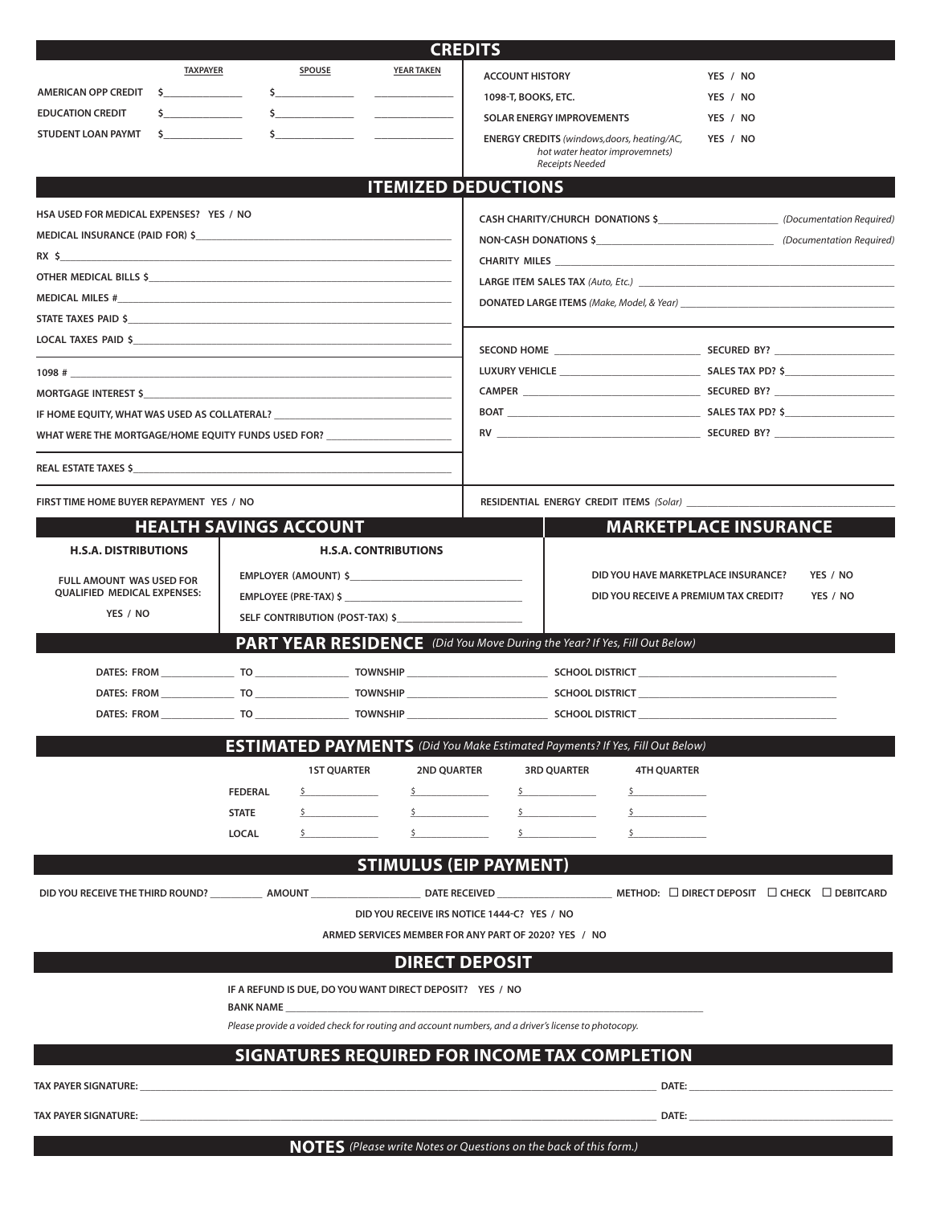|                                                                                                                |                               |                |                    |                                                                                                     | <b>CREDITS</b>         |                                                                                      |          |                                                             |
|----------------------------------------------------------------------------------------------------------------|-------------------------------|----------------|--------------------|-----------------------------------------------------------------------------------------------------|------------------------|--------------------------------------------------------------------------------------|----------|-------------------------------------------------------------|
|                                                                                                                | <b>TAXPAYER</b>               |                | <b>SPOUSE</b>      | <b>YEAR TAKEN</b>                                                                                   | <b>ACCOUNT HISTORY</b> |                                                                                      | YES / NO |                                                             |
| AMERICAN OPP CREDIT \$                                                                                         |                               |                |                    |                                                                                                     | 1098-T, BOOKS, ETC.    |                                                                                      | YES / NO |                                                             |
| <b>EDUCATION CREDIT</b>                                                                                        |                               |                |                    |                                                                                                     |                        | SOLAR ENERGY IMPROVEMENTS                                                            | YES / NO |                                                             |
| STUDENT LOAN PAYMT                                                                                             |                               |                |                    |                                                                                                     |                        | <b>ENERGY CREDITS</b> (windows, doors, heating/AC,                                   | YES / NO |                                                             |
|                                                                                                                |                               |                |                    |                                                                                                     |                        | hot water heator improvemnets)<br>Receipts Needed                                    |          |                                                             |
|                                                                                                                |                               |                |                    | <b>ITEMIZED DEDUCTIONS</b>                                                                          |                        |                                                                                      |          |                                                             |
| HSA USED FOR MEDICAL EXPENSES? YES / NO                                                                        |                               |                |                    |                                                                                                     |                        | CASH CHARITY/CHURCH DONATIONS \$___________________________ (Documentation Required) |          |                                                             |
| MEDICAL INSURANCE (PAID FOR) \$                                                                                |                               |                |                    |                                                                                                     |                        |                                                                                      |          |                                                             |
| $RX \sim$                                                                                                      |                               |                |                    |                                                                                                     |                        |                                                                                      |          |                                                             |
|                                                                                                                |                               |                |                    |                                                                                                     |                        |                                                                                      |          |                                                             |
|                                                                                                                |                               |                |                    |                                                                                                     |                        |                                                                                      |          |                                                             |
|                                                                                                                |                               |                |                    |                                                                                                     |                        |                                                                                      |          |                                                             |
|                                                                                                                |                               |                |                    |                                                                                                     |                        |                                                                                      |          |                                                             |
| $1098$ #                                                                                                       |                               |                |                    |                                                                                                     |                        |                                                                                      |          |                                                             |
|                                                                                                                |                               |                |                    |                                                                                                     |                        |                                                                                      |          |                                                             |
| IF HOME EQUITY, WHAT WAS USED AS COLLATERAL? [10] THE RESERVE RESERVE TO A RESERVE THE RESERVE TO A RESERVE TH |                               |                |                    |                                                                                                     |                        |                                                                                      |          |                                                             |
| WHAT WERE THE MORTGAGE/HOME EQUITY FUNDS USED FOR? _____________________________                               |                               |                |                    |                                                                                                     |                        |                                                                                      |          |                                                             |
|                                                                                                                |                               |                |                    |                                                                                                     |                        |                                                                                      |          |                                                             |
|                                                                                                                |                               |                |                    |                                                                                                     |                        |                                                                                      |          |                                                             |
| FIRST TIME HOME BUYER REPAYMENT YES / NO                                                                       |                               |                |                    |                                                                                                     |                        |                                                                                      |          |                                                             |
|                                                                                                                | <b>HEALTH SAVINGS ACCOUNT</b> |                |                    |                                                                                                     |                        | <b>MARKETPLACE INSURANCE</b>                                                         |          |                                                             |
| <b>H.S.A. DISTRIBUTIONS</b>                                                                                    |                               |                |                    | <b>H.S.A. CONTRIBUTIONS</b>                                                                         |                        |                                                                                      |          |                                                             |
|                                                                                                                |                               |                |                    | EMPLOYER (AMOUNT) \$                                                                                |                        | DID YOU HAVE MARKETPLACE INSURANCE?                                                  |          | YES / NO                                                    |
| <b>FULL AMOUNT WAS USED FOR</b><br><b>QUALIFIED MEDICAL EXPENSES:</b>                                          |                               |                |                    |                                                                                                     |                        | DID YOU RECEIVE A PREMIUM TAX CREDIT?                                                |          | YES / NO                                                    |
| YES / NO                                                                                                       |                               |                |                    |                                                                                                     |                        |                                                                                      |          |                                                             |
|                                                                                                                |                               |                |                    |                                                                                                     |                        | <b>PART YEAR RESIDENCE</b> (Did You Move During the Year? If Yes, Fill Out Below)    |          |                                                             |
|                                                                                                                |                               |                |                    |                                                                                                     |                        |                                                                                      |          |                                                             |
|                                                                                                                |                               |                |                    |                                                                                                     |                        |                                                                                      |          |                                                             |
|                                                                                                                |                               |                |                    |                                                                                                     |                        |                                                                                      |          |                                                             |
|                                                                                                                |                               |                |                    |                                                                                                     |                        |                                                                                      |          |                                                             |
|                                                                                                                |                               |                |                    |                                                                                                     |                        | <b>ESTIMATED PAYMENTS</b> (Did You Make Estimated Payments? If Yes, Fill Out Below)  |          |                                                             |
|                                                                                                                |                               |                | <b>1ST QUARTER</b> | <b>2ND QUARTER</b>                                                                                  |                        | <b>3RD OUARTER</b><br><b>4TH OUARTER</b>                                             |          |                                                             |
|                                                                                                                |                               | <b>FEDERAL</b> |                    | $\mathsf{S}$ and $\mathsf{S}$ and $\mathsf{S}$ and $\mathsf{S}$                                     |                        |                                                                                      |          |                                                             |
|                                                                                                                |                               | <b>STATE</b>   |                    |                                                                                                     |                        | $\sim$                                                                               |          |                                                             |
|                                                                                                                |                               | <b>LOCAL</b>   |                    |                                                                                                     |                        |                                                                                      |          |                                                             |
|                                                                                                                |                               |                |                    | <b>STIMULUS (EIP PAYMENT)</b>                                                                       |                        |                                                                                      |          |                                                             |
| DID YOU RECEIVE THE THIRD ROUND? _____________ AMOUNT ___                                                      |                               |                |                    |                                                                                                     |                        |                                                                                      |          | METHOD: $\Box$ DIRECT DEPOSIT $\Box$ CHECK $\Box$ DEBITCARD |
|                                                                                                                |                               |                |                    | DID YOU RECEIVE IRS NOTICE 1444-C? YES / NO                                                         |                        |                                                                                      |          |                                                             |
|                                                                                                                |                               |                |                    | ARMED SERVICES MEMBER FOR ANY PART OF 2020? YES / NO                                                |                        |                                                                                      |          |                                                             |
|                                                                                                                |                               |                |                    |                                                                                                     | <b>DIRECT DEPOSIT</b>  |                                                                                      |          |                                                             |
|                                                                                                                |                               |                |                    |                                                                                                     |                        |                                                                                      |          |                                                             |
|                                                                                                                |                               | BANK NAME      |                    | IF A REFUND IS DUE, DO YOU WANT DIRECT DEPOSIT? YES / NO                                            |                        |                                                                                      |          |                                                             |
|                                                                                                                |                               |                |                    | Please provide a voided check for routing and account numbers, and a driver's license to photocopy. |                        |                                                                                      |          |                                                             |
|                                                                                                                |                               |                |                    |                                                                                                     |                        | SIGNATURES REQUIRED FOR INCOME TAX COMPLETION                                        |          |                                                             |
|                                                                                                                |                               |                |                    |                                                                                                     |                        |                                                                                      |          |                                                             |
| <b>TAX PAYER SIGNATURE:</b>                                                                                    |                               |                |                    |                                                                                                     |                        | DATE:                                                                                |          |                                                             |
| TAX PAYER SIGNATURE:                                                                                           |                               |                |                    |                                                                                                     |                        | ,我们也不能在这里的时候,我们也不能在这里的时候,我们也不能在这里的时候,我们也不能会在这里的时候,我们也不能会在这里的时候,我们也不能会在这里的时候,我们也不     |          |                                                             |
|                                                                                                                |                               |                |                    |                                                                                                     |                        |                                                                                      |          |                                                             |

**NOTES** *(Please write Notes or Questions on the back of this form.)*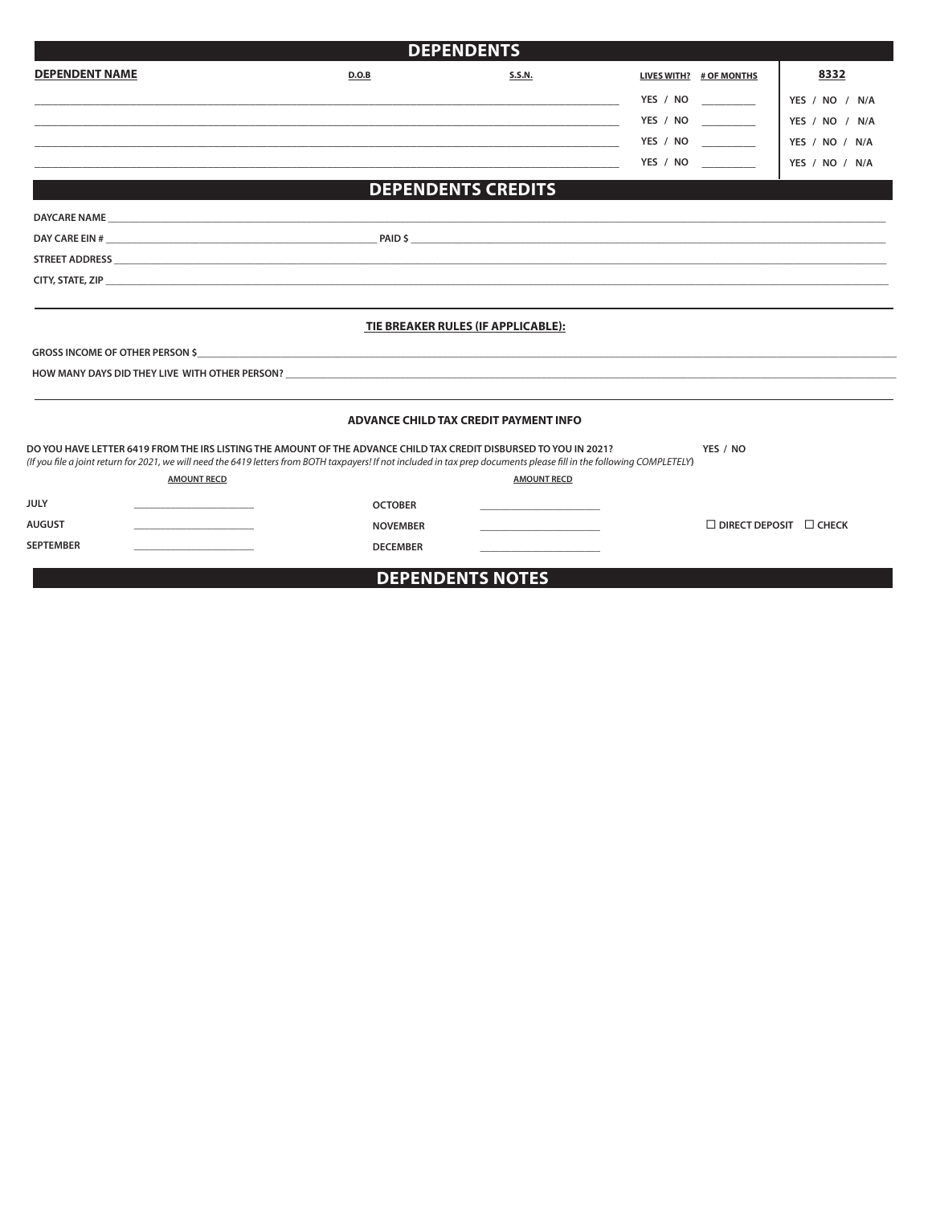|                                                                                                                                                                                                                                                                                                                   | <b>DEPENDENTS</b>                                                               |                                              |                                    |                |
|-------------------------------------------------------------------------------------------------------------------------------------------------------------------------------------------------------------------------------------------------------------------------------------------------------------------|---------------------------------------------------------------------------------|----------------------------------------------|------------------------------------|----------------|
| <b>DEPENDENT NAME</b>                                                                                                                                                                                                                                                                                             | D.O.B                                                                           | <b>S.S.N.</b>                                | LIVES WITH? # OF MONTHS            | 8332           |
|                                                                                                                                                                                                                                                                                                                   |                                                                                 |                                              | YES / NO __________                | YES / NO / N/A |
|                                                                                                                                                                                                                                                                                                                   |                                                                                 |                                              | YES / NO __________                | YES / NO / N/A |
|                                                                                                                                                                                                                                                                                                                   | <u> 1980 - Andrea Andrew Maria (h. 1980).</u><br>1980 - Andrew Maria (h. 1980). |                                              | YES / NO                           | YES / NO / N/A |
|                                                                                                                                                                                                                                                                                                                   |                                                                                 |                                              | YES / NO _________                 | YES / NO / N/A |
|                                                                                                                                                                                                                                                                                                                   | <b>DEPENDENTS CREDITS</b>                                                       |                                              |                                    |                |
|                                                                                                                                                                                                                                                                                                                   |                                                                                 |                                              |                                    |                |
|                                                                                                                                                                                                                                                                                                                   |                                                                                 |                                              |                                    |                |
|                                                                                                                                                                                                                                                                                                                   |                                                                                 |                                              |                                    |                |
|                                                                                                                                                                                                                                                                                                                   |                                                                                 |                                              |                                    |                |
|                                                                                                                                                                                                                                                                                                                   | TIE BREAKER RULES (IF APPLICABLE):                                              |                                              |                                    |                |
|                                                                                                                                                                                                                                                                                                                   |                                                                                 |                                              |                                    |                |
| HOW MANY DAYS DID THEY LIVE WITH OTHER PERSON? THE SERVICE SERVICE SERVICE SERVICE SERVICE SERVICE SERVICE SER                                                                                                                                                                                                    |                                                                                 |                                              |                                    |                |
|                                                                                                                                                                                                                                                                                                                   | ADVANCE CHILD TAX CREDIT PAYMENT INFO                                           |                                              |                                    |                |
| OO YOU HAVE LETTER 6419 FROM THE IRS LISTING THE AMOUNT OF THE ADVANCE CHILD TAX CREDIT DISBURSED TO YOU IN 2021?<br>If you file a joint return for 2021, we will need the 6419 letters from BOTH taxpayers! If not included in tax prep documents please fill in the following COMPLETELY)<br><b>AMOUNT RECD</b> |                                                                                 | <b>AMOUNT RECD</b>                           | YES / NO                           |                |
| ULY                                                                                                                                                                                                                                                                                                               | <b>OCTOBER</b>                                                                  |                                              |                                    |                |
| NUGUST<br>the control of the control of the control of                                                                                                                                                                                                                                                            | <b>NOVEMBER</b>                                                                 | the control of the control of the control of | $\Box$ DIRECT DEPOSIT $\Box$ CHECK |                |
| <b>SEPTEMBER</b>                                                                                                                                                                                                                                                                                                  | <b>DECEMBER</b>                                                                 |                                              |                                    |                |
|                                                                                                                                                                                                                                                                                                                   | <b>DEPENDENTS NOTES</b>                                                         |                                              |                                    |                |